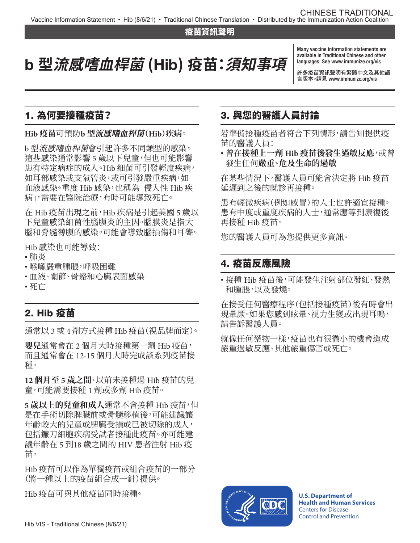#### 疫苗資訊聲明

# b **型流感嗜血桿菌 (**Hib**) 疫苗:須知事項**

Many vaccine information statements are available in Traditional Chinese and other languages. See [www.immunize.org/vis](http://www.immunize.org/vis)

許多疫苗資訊聲明有繁體中文及其他語 言版本。請見 [www.immunize.org/vis](http://www.immunize.org/vis) 

## 1. 為何要接種疫苗?

#### **Hib 疫苗**可預防**b 型流感嗜血桿菌(Hib)疾病**。

b 型*流感嗜血桿菌*會引起許多不同類型的感染。 這些感染通常影響 5 歲以下兒童,但也可能影響 患有特定病症的成人。Hib 細菌可引發輕度疾病, 如耳部感染或支氣管炎,或可引發嚴重疾病,如 血液感染。重度 Hib 感染,也稱為「侵入性 Hib 疾 病」,需要在醫院治療,有時可能導致死亡。

在 Hib 疫苗出現之前,Hib 疾病是引起美國 5 歲以 下兒童感染細菌性腦膜炎的主因。腦膜炎是指大 腦和脊髓薄膜的感染。可能會導致腦損傷和耳聾。

Hib 感染也可能導致:

- 肺炎
- •喉嚨嚴重腫脹,呼吸困難
- 血液、關節、骨骼和心臟表面感染
- 死亡

#### 2. Hib 疫苗

通常以 3 或 4 劑方式接種 Hib 疫苗(視品牌而定)。

**嬰兒**通常會在 2 個月大時接種第一劑 Hib 疫苗, 而且通常會在 12-15 個月大時完成該系列疫苗接 種。

**12 個月至 5 歲之間**、以前未接種過 Hib 疫苗的兒 童,可能需要接種 1 劑或多劑 Hib 疫苗。

**5 歲以上的兒童和成人**通常不會接種 Hib 疫苗,但 是在手術切除脾臟前或骨髓移植後,可能建議讓 年齡較大的兒童或脾臟受損或已被切除的成人, 包括鐮刀細胞疾病受試者接種此疫苗。亦可能建 議年齡在 5 到18 歲之間的 HIV 患者注射 Hib 疫 苗。

Hib 疫苗可以作為單獨疫苗或組合疫苗的一部分 (將一種以上的疫苗組合成一針)提供。

Hib 疫苗可與其他疫苗同時接種。

### 3. 與您的醫護人員討論

若準備接種疫苗者符合下列情形,請告知提供疫 苗的醫護人員:

 曾在**接種上一劑 Hib 疫苗後發生過敏反應**,或曾 發生任何**嚴重、危及生命的過敏**

在某些情況下,醫護人員可能會決定將 Hib 疫苗 延遲到之後的就診再接種。

患有輕微疾病(例如感冒)的人士也許適宜接種。 患有中度或重度疾病的人士,通常應等到康復後 再接種 Hib 疫苗。

您的醫護人員可為您提供更多資訊。

### 4. 疫苗反應風險

• 接種 Hib 疫苗後,可能發生注射部位發紅、發熱 和腫脹,以及發燒。

在接受任何醫療程序(包括接種疫苗)後有時會出 現暈厥。如果您感到眩暈、視力生變或出現耳鳴, 請告訴醫護人員。

就像任何藥物一樣,疫苗也有很微小的機會造成 嚴重過敏反應、其他嚴重傷害或死亡。



**U.S. Department of Health and Human Services**  Centers for Disease Control and Prevention